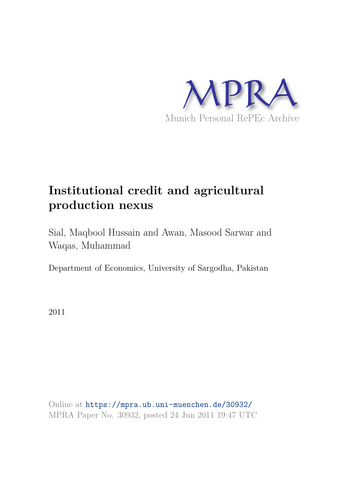

# **Institutional credit and agricultural production nexus**

Sial, Maqbool Hussain and Awan, Masood Sarwar and Waqas, Muhammad

Department of Economics, University of Sargodha, Pakistan

2011

Online at https://mpra.ub.uni-muenchen.de/30932/ MPRA Paper No. 30932, posted 24 Jun 2011 19:47 UTC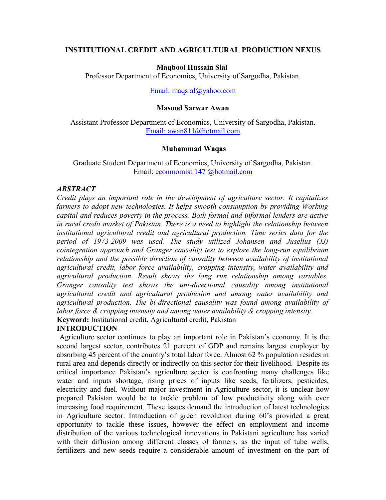# **INSTITUTIONAL CREDIT AND AGRICULTURAL PRODUCTION NEXUS**

# **Maqbool Hussain Sial**

Professor Department of Economics, University of Sargodha, Pakistan.

Email: maqsial@yahoo.com

# **Masood Sarwar Awan**

Assistant Professor Department of Economics, University of Sargodha, Pakistan. Email: awan811@hotmail.com

#### **Muhammad Waqas**

Graduate Student Department of Economics, University of Sargodha, Pakistan. Email: econmomist 147 @hotmail.com

### *ABSTRACT*

*Credit plays an important role in the development of agriculture sector. It capitalizes farmers to adopt new technologies. It helps smooth consumption by providing Working capital and reduces poverty in the process. Both formal and informal lenders are active in rural credit market of Pakistan. There is a need to highlight the relationship between institutional agricultural credit and agricultural production. Time series data for the period of 1973-2009 was used. The study utilized Johansen and Juselius (JJ) cointegration approach and Granger causality test to explore the long-run equilibrium relationship and the possible direction of causality between availability of institutional agricultural credit, labor force availability, cropping intensity, water availability and agricultural production. Result shows the long run relationship among variables. Granger causality test shows the uni-directional causality among institutional agricultural credit and agricultural production and among water availability and agricultural production. The bi-directional causality was found among availability of labor force & cropping intensity and among water availability & cropping intensity.* **Keyword:** Institutional credit, Agricultural credit, Pakistan

# **INTRODUCTION**

 Agriculture sector continues to play an important role in Pakistan's economy. It is the second largest sector, contributes 21 percent of GDP and remains largest employer by absorbing 45 percent of the country's total labor force. Almost 62 % population resides in rural area and depends directly or indirectly on this sector for their livelihood. Despite its critical importance Pakistan's agriculture sector is confronting many challenges like water and inputs shortage, rising prices of inputs like seeds, fertilizers, pesticides, electricity and fuel. Without major investment in Agriculture sector, it is unclear how prepared Pakistan would be to tackle problem of low productivity along with ever increasing food requirement. These issues demand the introduction of latest technologies in Agriculture sector. Introduction of green revolution during 60's provided a great opportunity to tackle these issues, however the effect on employment and income distribution of the various technological innovations in Pakistani agriculture has varied with their diffusion among different classes of farmers, as the input of tube wells, fertilizers and new seeds require a considerable amount of investment on the part of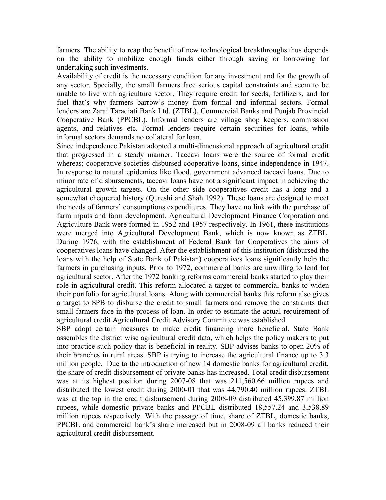farmers. The ability to reap the benefit of new technological breakthroughs thus depends on the ability to mobilize enough funds either through saving or borrowing for undertaking such investments.

Availability of credit is the necessary condition for any investment and for the growth of any sector. Specially, the small farmers face serious capital constraints and seem to be unable to live with agriculture sector. They require credit for seeds, fertilizers, and for fuel that's why farmers barrow's money from formal and informal sectors. Formal lenders are Zarai Taraqiati Bank Ltd. (ZTBL), Commercial Banks and Punjab Provincial Cooperative Bank (PPCBL). Informal lenders are village shop keepers, commission agents, and relatives etc. Formal lenders require certain securities for loans, while informal sectors demands no collateral for loan.

Since independence Pakistan adopted a multi-dimensional approach of agricultural credit that progressed in a steady manner. Taccavi loans were the source of formal credit whereas; cooperative societies disbursed cooperative loans, since independence in 1947. In response to natural epidemics like flood, government advanced taccavi loans. Due to minor rate of disbursements, taccavi loans have not a significant impact in achieving the agricultural growth targets. On the other side cooperatives credit has a long and a somewhat chequered history (Qureshi and Shah 1992). These loans are designed to meet the needs of farmers' consumptions expenditures. They have no link with the purchase of farm inputs and farm development. Agricultural Development Finance Corporation and Agriculture Bank were formed in 1952 and 1957 respectively. In 1961, these institutions were merged into Agricultural Development Bank, which is now known as ZTBL. During 1976, with the establishment of Federal Bank for Cooperatives the aims of cooperatives loans have changed. After the establishment of this institution (disbursed the loans with the help of State Bank of Pakistan) cooperatives loans significantly help the farmers in purchasing inputs. Prior to 1972, commercial banks are unwilling to lend for agricultural sector. After the 1972 banking reforms commercial banks started to play their role in agricultural credit. This reform allocated a target to commercial banks to widen their portfolio for agricultural loans. Along with commercial banks this reform also gives a target to SPB to disburse the credit to small farmers and remove the constraints that small farmers face in the process of loan. In order to estimate the actual requirement of agricultural credit Agricultural Credit Advisory Committee was established.

SBP adopt certain measures to make credit financing more beneficial. State Bank assembles the district wise agricultural credit data, which helps the policy makers to put into practice such policy that is beneficial in reality. SBP advises banks to open 20% of their branches in rural areas. SBP is trying to increase the agricultural finance up to 3.3 million people. Due to the introduction of new 14 domestic banks for agricultural credit, the share of credit disbursement of private banks has increased. Total credit disbursement was at its highest position during 2007-08 that was 211,560.66 million rupees and distributed the lowest credit during 2000-01 that was 44,790.40 million rupees. ZTBL was at the top in the credit disbursement during 2008-09 distributed 45,399.87 million rupees, while domestic private banks and PPCBL distributed 18,557.24 and 3,538.89 million rupees respectively. With the passage of time, share of ZTBL, domestic banks, PPCBL and commercial bank's share increased but in 2008-09 all banks reduced their agricultural credit disbursement.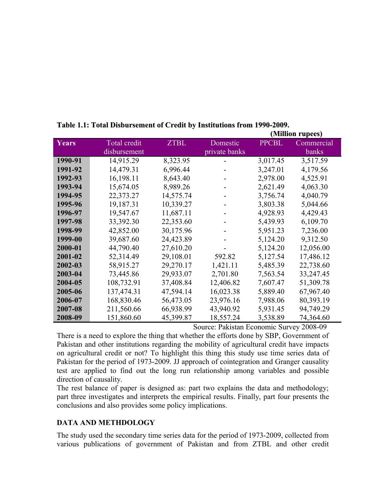|         |                     |             |               | (Million rupees) |            |  |
|---------|---------------------|-------------|---------------|------------------|------------|--|
| Years   | <b>Total credit</b> | <b>ZTBL</b> | Domestic      | <b>PPCBL</b>     | Commercial |  |
|         | disbursement        |             | private banks |                  | banks      |  |
| 1990-91 | 14,915.29           | 8,323.95    |               | 3,017.45         | 3,517.59   |  |
| 1991-92 | 14,479.31           | 6,996.44    |               | 3,247.01         | 4,179.56   |  |
| 1992-93 | 16,198.11           | 8,643.40    |               | 2,978.00         | 4,525.91   |  |
| 1993-94 | 15,674.05           | 8,989.26    |               | 2,621.49         | 4,063.30   |  |
| 1994-95 | 22,373.27           | 14,575.74   |               | 3,756.74         | 4,040.79   |  |
| 1995-96 | 19,187.31           | 10,339.27   |               | 3,803.38         | 5,044.66   |  |
| 1996-97 | 19,547.67           | 11,687.11   |               | 4,928.93         | 4,429.43   |  |
| 1997-98 | 33,392.30           | 22,353.60   |               | 5,439.93         | 6,109.70   |  |
| 1998-99 | 42,852.00           | 30,175.96   |               | 5,951.23         | 7,236.00   |  |
| 1999-00 | 39,687.60           | 24,423.89   |               | 5,124.20         | 9,312.50   |  |
| 2000-01 | 44,790.40           | 27,610.20   |               | 5,124.20         | 12,056.00  |  |
| 2001-02 | 52,314.49           | 29,108.01   | 592.82        | 5,127.54         | 17,486.12  |  |
| 2002-03 | 58,915.27           | 29,270.17   | 1,421.11      | 5,485.39         | 22,738.60  |  |
| 2003-04 | 73,445.86           | 29,933.07   | 2,701.80      | 7,563.54         | 33,247.45  |  |
| 2004-05 | 108,732.91          | 37,408.84   | 12,406.82     | 7,607.47         | 51,309.78  |  |
| 2005-06 | 137,474.31          | 47,594.14   | 16,023.38     | 5,889.40         | 67,967.40  |  |
| 2006-07 | 168,830.46          | 56,473.05   | 23,976.16     | 7,988.06         | 80,393.19  |  |
| 2007-08 | 211,560.66          | 66,938.99   | 43,940.92     | 5,931.45         | 94,749.29  |  |
| 2008-09 | 151,860.60          | 45,399.87   | 18,557.24     | 3,538.89         | 74,364.60  |  |

# **Table 1.1: Total Disbursement of Credit by Institutions from 1990-2009.**

Source: Pakistan Economic Survey 2008-09

There is a need to explore the thing that whether the efforts done by SBP, Government of Pakistan and other institutions regarding the mobility of agricultural credit have impacts on agricultural credit or not? To highlight this thing this study use time series data of Pakistan for the period of 1973-2009. JJ approach of cointegration and Granger causality test are applied to find out the long run relationship among variables and possible direction of causality.

The rest balance of paper is designed as: part two explains the data and methodology; part three investigates and interprets the empirical results. Finally, part four presents the conclusions and also provides some policy implications.

# **DATA AND METHDOLOGY**

The study used the secondary time series data for the period of 1973-2009, collected from various publications of government of Pakistan and from ZTBL and other credit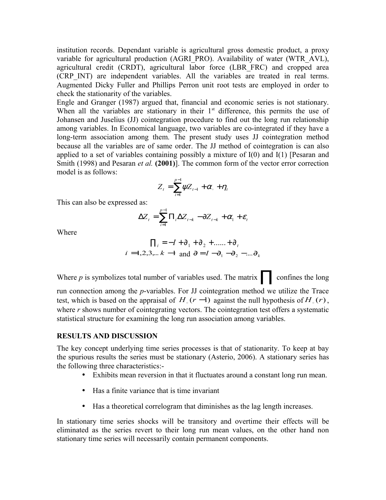institution records. Dependant variable is agricultural gross domestic product, a proxy variable for agricultural production (AGRI\_PRO). Availability of water (WTR\_AVL), agricultural credit (CRDT), agricultural labor force (LBR\_FRC) and cropped area (CRP\_INT) are independent variables. All the variables are treated in real terms. Augmented Dicky Fuller and Phillips Perron unit root tests are employed in order to check the stationarity of the variables.

Engle and Granger (1987) argued that, financial and economic series is not stationary. When all the variables are stationary in their  $1<sup>st</sup>$  difference, this permits the use of Johansen and Juselius (JJ) cointegration procedure to find out the long run relationship among variables. In Economical language, two variables are co-integrated if they have a long-term association among them. The present study uses JJ cointegration method because all the variables are of same order. The JJ method of cointegration is can also applied to a set of variables containing possibly a mixture of I(0) and I(1) [Pesaran and Smith (1998) and Pesaran *et al.* **(2001)**]. The common form of the vector error correction model is as follows:

$$
Z_t = \sum_{i=1}^{p-1} \psi Z_{t-1} + \alpha_{\circ} + \eta_t
$$

This can also be expressed as:

$$
\Delta Z_{t} = \sum_{i=1}^{p-1} \Pi_{i} \Delta Z_{t-k} - \partial Z_{t-k} + \alpha_{1} + \varepsilon_{t}
$$

Where

$$
\Pi_i = -I + \partial_1 + \partial_2 + \dots + \partial_t
$$
  
 $i = 1, 2, 3, \dots, k -1$  and  $\partial = I - \partial_1 - \partial_2 - \dots - \partial_k$ 

Where *p* is symbolizes total number of variables used. The matrix∏ confines the long run connection among the *p*-variables. For JJ cointegration method we utilize the Trace test, which is based on the appraisal of  $H_0(r-1)$  against the null hypothesis of  $H_0(r)$ , where *r* shows number of cointegrating vectors. The cointegration test offers a systematic statistical structure for examining the long run association among variables.

#### **RESULTS AND DISCUSSION**

The key concept underlying time series processes is that of stationarity. To keep at bay the spurious results the series must be stationary (Asterio, 2006). A stationary series has the following three characteristics:-

- Exhibits mean reversion in that it fluctuates around a constant long run mean.
- Has a finite variance that is time invariant
- Has a theoretical correlogram that diminishes as the lag length increases.

In stationary time series shocks will be transitory and overtime their effects will be eliminated as the series revert to their long run mean values, on the other hand non stationary time series will necessarily contain permanent components.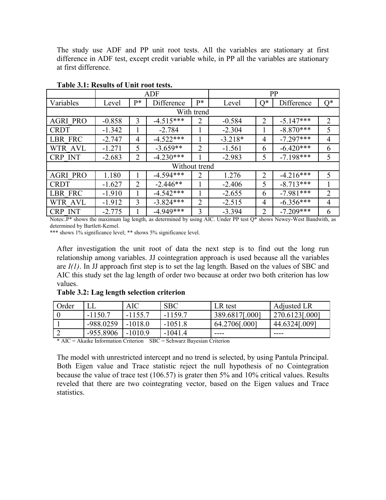The study use ADF and PP unit root tests. All the variables are stationary at first difference in ADF test, except credit variable while, in PP all the variables are stationary at first difference.

|                 | ADF      |                |             |                | PP        |                |             |                |  |  |
|-----------------|----------|----------------|-------------|----------------|-----------|----------------|-------------|----------------|--|--|
| Variables       | Level    | $P*$           | Difference  | $P*$           | Level     | $O^*$          | Difference  | $Q^*$          |  |  |
| With trend      |          |                |             |                |           |                |             |                |  |  |
| <b>AGRI PRO</b> | $-0.858$ | 3              | $-4.515***$ | $\overline{2}$ | $-0.584$  | $\overline{2}$ | $-5.147***$ | $\overline{2}$ |  |  |
| <b>CRDT</b>     | $-1.342$ |                | $-2.784$    |                | $-2.304$  | 1              | $-8.870***$ | 5              |  |  |
| LBR FRC         | $-2.747$ | $\overline{4}$ | $-4.522***$ |                | $-3.218*$ | 4              | $-7.297***$ | 4              |  |  |
| <b>WTR AVL</b>  | $-1.271$ | 5              | $-3.659**$  | $\overline{2}$ | $-1.561$  | 6              | $-6.420***$ | 6              |  |  |
| <b>CRP INT</b>  | $-2.683$ | $\overline{2}$ | $-4.230***$ |                | $-2.983$  | 5              | $-7.198***$ | 5              |  |  |
| Without trend   |          |                |             |                |           |                |             |                |  |  |
| <b>AGRI PRO</b> | 1.180    |                | $-4.594***$ | 2              | 1.276     | 2              | $-4.216***$ | 5              |  |  |
| <b>CRDT</b>     | $-1.627$ | $\overline{2}$ | $-2.446**$  |                | $-2.406$  | 5              | $-8.713***$ |                |  |  |
| LBR FRC         | $-1.910$ |                | $-4.542***$ |                | $-2.655$  | 6              | $-7.981***$ | 2              |  |  |
| WTR AVL         | $-1.912$ | 3              | $-3.824***$ | 2              | $-2.515$  | 4              | $-6.356***$ | $\overline{4}$ |  |  |
| <b>CRP INT</b>  | $-2.775$ |                | $-4.949***$ | 3              | $-3.394$  | 2              | $-7.209***$ | 6              |  |  |

## **Table 3.1: Results of Unit root tests.**

Notes:.P\* shows the maximum lag length, as determined by using AIC. Under PP test Q\* shows Newey-West Bandwith, as determined by Bartlett-Kernel.

\*\*\* shows 1% significance level; \*\* shows 5% significance level.

After investigation the unit root of data the next step is to find out the long run relationship among variables. JJ cointegration approach is used because all the variables are *I(1)*. In JJ approach first step is to set the lag length. Based on the values of SBC and AIC this study set the lag length of order two because at order two both criterion has low values.

# Order LL AIC SBC LR test Adjusted LR  $0$   $\vert$  -1150.7  $\vert$  -1155.7  $\vert$  -1159.7 389.6817[.000] 270.6123[.000] 1 -988.0259 -1018.0 -1051.8 64.2706[.000] 44.6324[.009] 2  $|-955.8906|$  -1010.9  $|-1041.4|$  ----

**Table 3.2: Lag length selection criterion** 

\* AIC = Akaike Information Criterion SBC = Schwarz Bayesian Criterion

The model with unrestricted intercept and no trend is selected, by using Pantula Principal. Both Eigen value and Trace statistic reject the null hypothesis of no Cointegration because the value of trace test (106.57) is grater then 5% and 10% critical values. Results reveled that there are two cointegrating vector, based on the Eigen values and Trace statistics.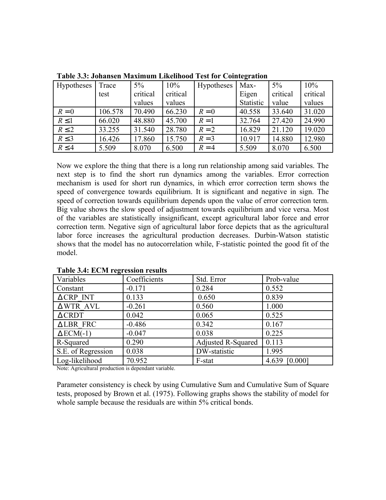| Hypotheses | Trace   | $5\%$    | 10%      | <b>Hypotheses</b> | Max-      | $5\%$    | 10%      |
|------------|---------|----------|----------|-------------------|-----------|----------|----------|
|            | test    | critical | critical |                   | Eigen     | critical | critical |
|            |         | values   | values   |                   | Statistic | value    | values   |
| $R=0$      | 106.578 | 70.490   | 66.230   | $R=0$             | 40.558    | 33.640   | 31.020   |
| $R \leq 1$ | 66.020  | 48.880   | 45.700   | $R=1$             | 32.764    | 27.420   | 24.990   |
| $R \leq 2$ | 33.255  | 31.540   | 28.780   | $R=2$             | 16.829    | 21.120   | 19.020   |
| $R \leq 3$ | 16.426  | 17.860   | 15.750   | $R=3$             | 10.917    | 14.880   | 12.980   |
| $R \leq 4$ | 5.509   | 8.070    | 6.500    | $R = 4$           | 5.509     | 8.070    | 6.500    |

**Table 3.3: Johansen Maximum Likelihood Test for Cointegration** 

Now we explore the thing that there is a long run relationship among said variables. The next step is to find the short run dynamics among the variables. Error correction mechanism is used for short run dynamics, in which error correction term shows the speed of convergence towards equilibrium. It is significant and negative in sign. The speed of correction towards equilibrium depends upon the value of error correction term. Big value shows the slow speed of adjustment towards equilibrium and vice versa. Most of the variables are statistically insignificant, except agricultural labor force and error correction term. Negative sign of agricultural labor force depicts that as the agricultural labor force increases the agricultural production decreases. Durbin-Watson statistic shows that the model has no autocorrelation while, F-statistic pointed the good fit of the model.

| Variables           | Coefficients | Std. Error         | Prob-value    |
|---------------------|--------------|--------------------|---------------|
| Constant            | $-0.171$     | 0.284              | 0.552         |
| $\triangle$ CRP INT | 0.133        | 0.650              | 0.839         |
| AWTR AVL            | $-0.261$     | 0.560              | 1.000         |
| $\triangle$ CRDT    | 0.042        | 0.065              | 0.525         |
| <b>ALBR FRC</b>     | $-0.486$     | 0.342              | 0.167         |
| $\triangle$ ECM(-1) | $-0.047$     | 0.038              | 0.225         |
| R-Squared           | 0.290        | Adjusted R-Squared | 0.113         |
| S.E. of Regression  | 0.038        | DW-statistic       | 1.995         |
| Log-likelihood      | 70.952       | F-stat             | 4.639 [0.000] |

**Table 3.4: ECM regression results**

Note: Agricultural production is dependant variable.

Parameter consistency is check by using Cumulative Sum and Cumulative Sum of Square tests, proposed by Brown et al. (1975). Following graphs shows the stability of model for whole sample because the residuals are within 5% critical bonds.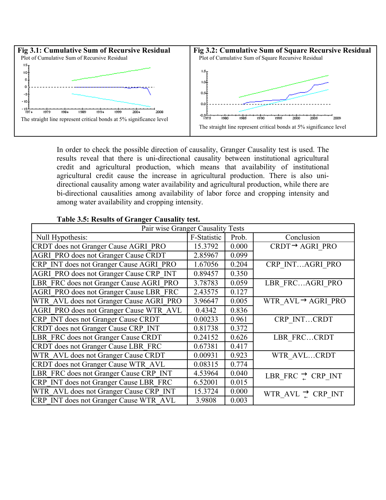

In order to check the possible direction of causality, Granger Causality test is used. The results reveal that there is uni-directional causality between institutional agricultural credit and agricultural production, which means that availability of institutional agricultural credit cause the increase in agricultural production. There is also unidirectional causality among water availability and agricultural production, while there are bi-directional causalities among availability of labor force and cropping intensity and among water availability and cropping intensity.

| Pair wise Granger Causality Tests              |             |       |                                |  |  |  |  |
|------------------------------------------------|-------------|-------|--------------------------------|--|--|--|--|
| Null Hypothesis:                               | F-Statistic | Prob. | Conclusion                     |  |  |  |  |
| CRDT does not Granger Cause AGRI PRO           | 15.3792     | 0.000 | $CRDT \rightarrow AGRI$ PRO    |  |  |  |  |
| <b>AGRI PRO does not Granger Cause CRDT</b>    | 2.85967     | 0.099 |                                |  |  |  |  |
| CRP INT does not Granger Cause AGRI PRO        | 1.67056     | 0.204 | CRP INTAGRI PRO                |  |  |  |  |
| <b>AGRI PRO does not Granger Cause CRP INT</b> | 0.89457     | 0.350 |                                |  |  |  |  |
| LBR FRC does not Granger Cause AGRI PRO        | 3.78783     | 0.059 | LBR FRCAGRI PRO                |  |  |  |  |
| <b>AGRI PRO does not Granger Cause LBR FRC</b> | 2.43575     | 0.127 |                                |  |  |  |  |
| WTR AVL does not Granger Cause AGRI PRO        | 3.96647     | 0.005 | WTR $AVL \rightarrow AGRI$ PRO |  |  |  |  |
| AGRI PRO does not Granger Cause WTR AVL        | 0.4342      | 0.836 |                                |  |  |  |  |
| CRP INT does not Granger Cause CRDT            | 0.00233     | 0.961 | CRP INTCRDT                    |  |  |  |  |
| CRDT does not Granger Cause CRP INT            | 0.81738     | 0.372 |                                |  |  |  |  |
| LBR FRC does not Granger Cause CRDT            | 0.24152     | 0.626 | LBR FRCCRDT                    |  |  |  |  |
| CRDT does not Granger Cause LBR FRC            | 0.67381     | 0.417 |                                |  |  |  |  |
| WTR AVL does not Granger Cause CRDT            | 0.00931     | 0.923 | WTR AVLCRDT                    |  |  |  |  |
| CRDT does not Granger Cause WTR AVL            | 0.08315     | 0.774 |                                |  |  |  |  |
| LBR FRC does not Granger Cause CRP INT         | 4.53964     | 0.040 | LBR FRC $\Rightarrow$ CRP INT  |  |  |  |  |
| CRP INT does not Granger Cause LBR FRC         | 6.52001     | 0.015 |                                |  |  |  |  |
| WTR AVL does not Granger Cause CRP INT         | 15.3724     | 0.000 | WTR_AVL $\Rightarrow$ CRP_INT  |  |  |  |  |
| CRP INT does not Granger Cause WTR AVL         | 3.9808      | 0.003 |                                |  |  |  |  |

# **Table 3.5: Results of Granger Causality test.**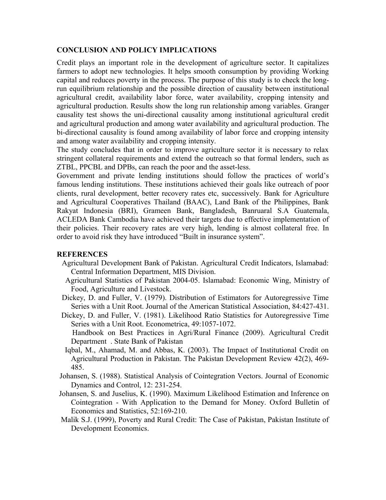# **CONCLUSION AND POLICY IMPLICATIONS**

Credit plays an important role in the development of agriculture sector. It capitalizes farmers to adopt new technologies. It helps smooth consumption by providing Working capital and reduces poverty in the process. The purpose of this study is to check the longrun equilibrium relationship and the possible direction of causality between institutional agricultural credit, availability labor force, water availability, cropping intensity and agricultural production. Results show the long run relationship among variables. Granger causality test shows the uni-directional causality among institutional agricultural credit and agricultural production and among water availability and agricultural production. The bi-directional causality is found among availability of labor force and cropping intensity and among water availability and cropping intensity.

The study concludes that in order to improve agriculture sector it is necessary to relax stringent collateral requirements and extend the outreach so that formal lenders, such as ZTBL, PPCBL and DPBs, can reach the poor and the asset-less.

Government and private lending institutions should follow the practices of world's famous lending institutions. These institutions achieved their goals like outreach of poor clients, rural development, better recovery rates etc, successively. Bank for Agriculture and Agricultural Cooperatives Thailand (BAAC), Land Bank of the Philippines, Bank Rakyat Indonesia (BRI), Grameen Bank, Bangladesh, Banruaral S.A Guatemala, ACLEDA Bank Cambodia have achieved their targets due to effective implementation of their policies. Their recovery rates are very high, lending is almost collateral free. In order to avoid risk they have introduced "Built in insurance system".

# **REFERENCES**

- Agricultural Development Bank of Pakistan. Agricultural Credit Indicators, Islamabad: Central Information Department, MIS Division.
- Agricultural Statistics of Pakistan 2004-05. Islamabad: Economic Wing, Ministry of Food, Agriculture and Livestock.
- Dickey, D. and Fuller, V. (1979). Distribution of Estimators for Autoregressive Time Series with a Unit Root. Journal of the American Statistical Association, 84:427-431.
- Dickey, D. and Fuller, V. (1981). Likelihood Ratio Statistics for Autoregressive Time Series with a Unit Root. Econometrica, 49:1057-1072. Handbook on Best Practices in Agri/Rural Finance (2009). Agricultural Credit
	- Department . State Bank of Pakistan
- Iqbal, M., Ahamad, M. and Abbas, K. (2003). The Impact of Institutional Credit on Agricultural Production in Pakistan. The Pakistan Development Review 42(2), 469- 485.
- Johansen, S. (1988). Statistical Analysis of Cointegration Vectors. Journal of Economic Dynamics and Control, 12: 231-254.
- Johansen, S. and Juselius, K. (1990). Maximum Likelihood Estimation and Inference on Cointegration - With Application to the Demand for Money. Oxford Bulletin of Economics and Statistics, 52:169-210.
- Malik S.J. (1999), Poverty and Rural Credit: The Case of Pakistan, Pakistan Institute of Development Economics.